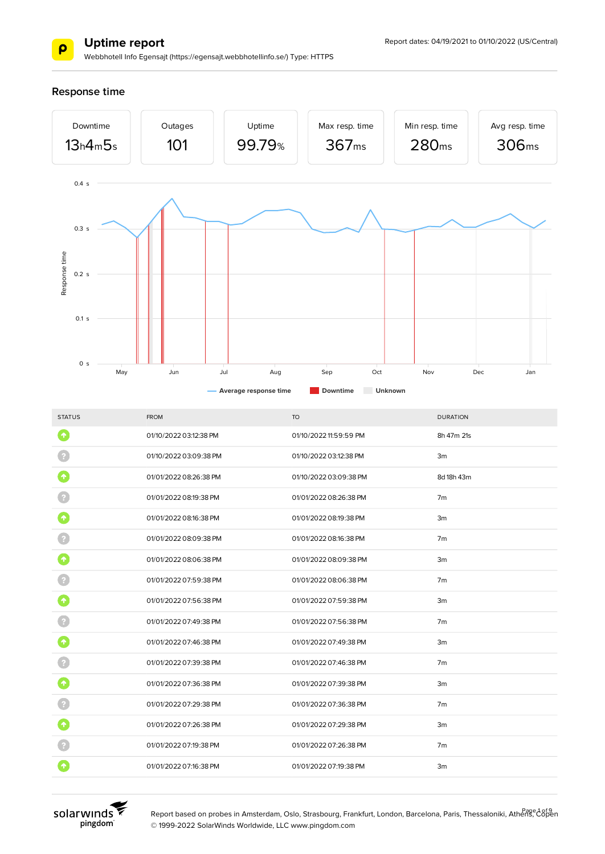

Webbhotell Info Egensajt (https://egensajt.webbhotellinfo.se/) Type: HTTPS

**Response time**



| <b>STATUS</b> | <b>FROM</b>            | <b>TO</b>              | <b>DURATION</b> |
|---------------|------------------------|------------------------|-----------------|
| $\bullet$     | 01/10/2022 03:12:38 PM | 01/10/2022 11:59:59 PM | 8h 47m 21s      |
|               | 01/10/2022 03:09:38 PM | 01/10/2022 03:12:38 PM | 3m              |
|               | 01/01/2022 08:26:38 PM | 01/10/2022 03:09:38 PM | 8d 18h 43m      |
|               | 01/01/2022 08:19:38 PM | 01/01/2022 08:26:38 PM | 7 <sub>m</sub>  |
|               | 01/01/2022 08:16:38 PM | 01/01/2022 08:19:38 PM | 3m              |
|               | 01/01/2022 08:09:38 PM | 01/01/2022 08:16:38 PM | 7 <sub>m</sub>  |
| 个             | 01/01/2022 08:06:38 PM | 01/01/2022 08:09:38 PM | 3m              |
|               | 01/01/2022 07:59:38 PM | 01/01/2022 08:06:38 PM | 7m              |
| 个             | 01/01/2022 07:56:38 PM | 01/01/2022 07:59:38 PM | 3m              |
|               | 01/01/2022 07:49:38 PM | 01/01/2022 07:56:38 PM | 7 <sub>m</sub>  |
| 个             | 01/01/2022 07:46:38 PM | 01/01/2022 07:49:38 PM | 3m              |
|               | 01/01/2022 07:39:38 PM | 01/01/2022 07:46:38 PM | 7 <sub>m</sub>  |
| ↑             | 01/01/2022 07:36:38 PM | 01/01/2022 07:39:38 PM | 3m              |
|               | 01/01/2022 07:29:38 PM | 01/01/2022 07:36:38 PM | 7m              |
|               | 01/01/2022 07:26:38 PM | 01/01/2022 07:29:38 PM | 3m              |
|               | 01/01/2022 07:19:38 PM | 01/01/2022 07:26:38 PM | 7 <sub>m</sub>  |
|               | 01/01/2022 07:16:38 PM | 01/01/2022 07:19:38 PM | 3m              |
|               |                        |                        |                 |



Report based on probes in Amsterdam, Oslo, Strasbourg, Frankfurt, London, Barcelona, Paris, Thessaloniki, Athens, Copen © 1999-2022 SolarWinds Worldwide, LLC www.pingdom.com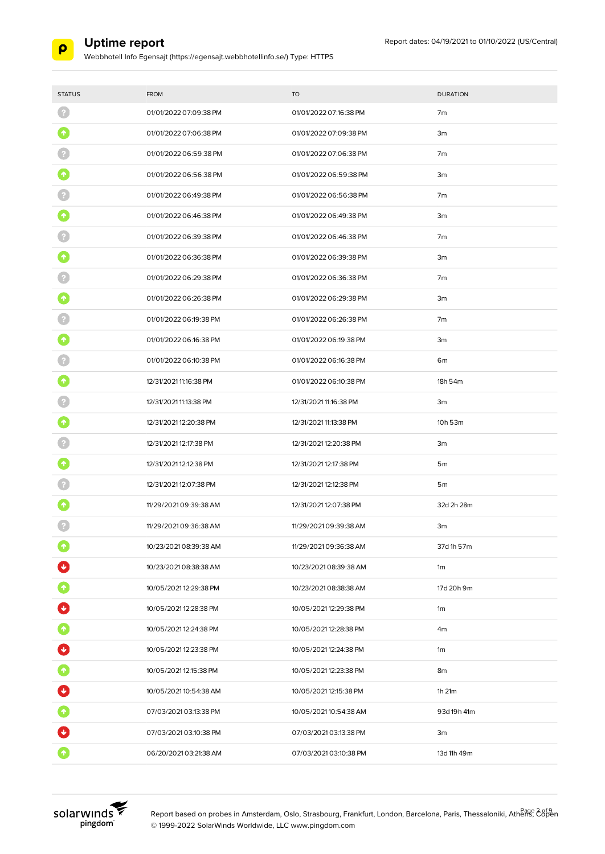

| <b>STATUS</b>     | <b>FROM</b>            | <b>TO</b>              | <b>DURATION</b> |
|-------------------|------------------------|------------------------|-----------------|
|                   | 01/01/2022 07:09:38 PM | 01/01/2022 07:16:38 PM | 7m              |
| 个                 | 01/01/2022 07:06:38 PM | 01/01/2022 07:09:38 PM | 3m              |
|                   | 01/01/2022 06:59:38 PM | 01/01/2022 07:06:38 PM | 7m              |
|                   | 01/01/2022 06:56:38 PM | 01/01/2022 06:59:38 PM | 3m              |
|                   | 01/01/2022 06:49:38 PM | 01/01/2022 06:56:38 PM | 7 <sub>m</sub>  |
|                   | 01/01/2022 06:46:38 PM | 01/01/2022 06:49:38 PM | 3m              |
|                   | 01/01/2022 06:39:38 PM | 01/01/2022 06:46:38 PM | 7 <sub>m</sub>  |
|                   | 01/01/2022 06:36:38 PM | 01/01/2022 06:39:38 PM | 3m              |
|                   | 01/01/2022 06:29:38 PM | 01/01/2022 06:36:38 PM | 7 <sub>m</sub>  |
|                   | 01/01/2022 06:26:38 PM | 01/01/2022 06:29:38 PM | 3m              |
|                   | 01/01/2022 06:19:38 PM | 01/01/2022 06:26:38 PM | 7m              |
|                   | 01/01/2022 06:16:38 PM | 01/01/2022 06:19:38 PM | 3m              |
|                   | 01/01/2022 06:10:38 PM | 01/01/2022 06:16:38 PM | 6m              |
|                   | 12/31/2021 11:16:38 PM | 01/01/2022 06:10:38 PM | 18h 54m         |
|                   | 12/31/2021 11:13:38 PM | 12/31/2021 11:16:38 PM | 3m              |
|                   | 12/31/2021 12:20:38 PM | 12/31/2021 11:13:38 PM | 10h 53m         |
|                   | 12/31/2021 12:17:38 PM | 12/31/2021 12:20:38 PM | 3m              |
|                   | 12/31/2021 12:12:38 PM | 12/31/2021 12:17:38 PM | 5 <sub>m</sub>  |
|                   | 12/31/2021 12:07:38 PM | 12/31/2021 12:12:38 PM | 5 <sub>m</sub>  |
|                   | 11/29/2021 09:39:38 AM | 12/31/2021 12:07:38 PM | 32d 2h 28m      |
|                   | 11/29/2021 09:36:38 AM | 11/29/2021 09:39:38 AM | 3m              |
|                   | 10/23/2021 08:39:38 AM | 11/29/2021 09:36:38 AM | 37d 1h 57m      |
|                   | 10/23/2021 08:38:38 AM | 10/23/2021 08:39:38 AM | 1m              |
|                   | 10/05/2021 12:29:38 PM | 10/23/2021 08:38:38 AM | 17d 20h 9m      |
| Ø                 | 10/05/2021 12:28:38 PM | 10/05/2021 12:29:38 PM | 1m              |
| $\bullet$         | 10/05/2021 12:24:38 PM | 10/05/2021 12:28:38 PM | 4m              |
| $\bm{\bm{\circ}}$ | 10/05/2021 12:23:38 PM | 10/05/2021 12:24:38 PM | 1m              |
|                   | 10/05/2021 12:15:38 PM | 10/05/2021 12:23:38 PM | 8m              |
|                   | 10/05/2021 10:54:38 AM | 10/05/2021 12:15:38 PM | $1h$ $21m$      |
| $\bullet$         | 07/03/2021 03:13:38 PM | 10/05/2021 10:54:38 AM | 93d 19h 41m     |
|                   | 07/03/2021 03:10:38 PM | 07/03/2021 03:13:38 PM | 3m              |
|                   | 06/20/2021 03:21:38 AM | 07/03/2021 03:10:38 PM | 13d 11h 49m     |

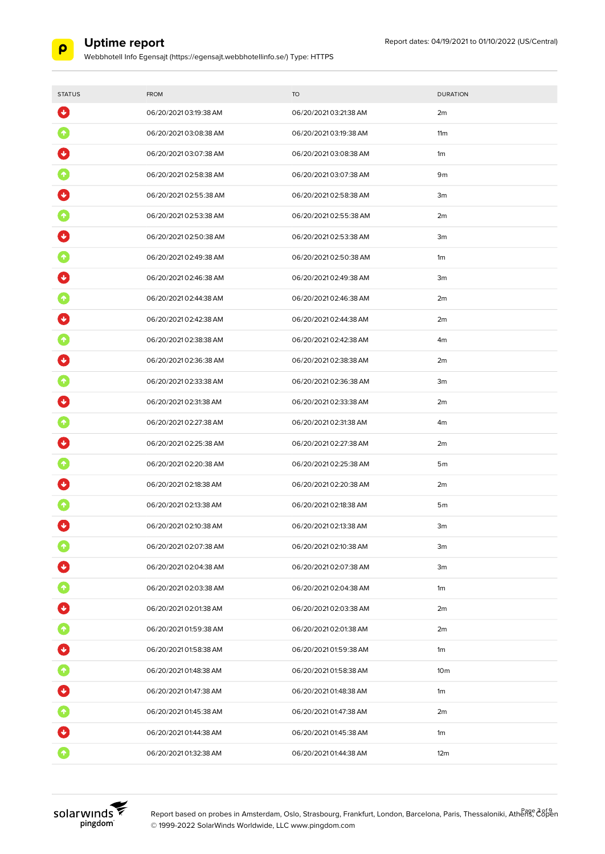

| <b>STATUS</b> | <b>FROM</b>            | <b>TO</b>              | <b>DURATION</b> |
|---------------|------------------------|------------------------|-----------------|
| ₩             | 06/20/2021 03:19:38 AM | 06/20/2021 03:21:38 AM | 2m              |
|               | 06/20/202103:08:38 AM  | 06/20/2021 03:19:38 AM | 11m             |
|               | 06/20/2021 03:07:38 AM | 06/20/2021 03:08:38 AM | 1 <sub>m</sub>  |
|               | 06/20/2021 02:58:38 AM | 06/20/2021 03:07:38 AM | 9m              |
|               | 06/20/202102:55:38 AM  | 06/20/2021 02:58:38 AM | 3m              |
|               | 06/20/2021 02:53:38 AM | 06/20/2021 02:55:38 AM | 2m              |
|               | 06/20/202102:50:38 AM  | 06/20/2021 02:53:38 AM | 3m              |
|               | 06/20/2021 02:49:38 AM | 06/20/202102:50:38 AM  | 1m              |
|               | 06/20/2021 02:46:38 AM | 06/20/2021 02:49:38 AM | 3m              |
|               | 06/20/202102:44:38 AM  | 06/20/202102:46:38 AM  | 2m              |
|               | 06/20/2021 02:42:38 AM | 06/20/2021 02:44:38 AM | 2m              |
|               | 06/20/2021 02:38:38 AM | 06/20/2021 02:42:38 AM | 4 <sub>m</sub>  |
|               | 06/20/202102:36:38 AM  | 06/20/2021 02:38:38 AM | 2m              |
|               | 06/20/2021 02:33:38 AM | 06/20/2021 02:36:38 AM | 3m              |
|               | 06/20/2021 02:31:38 AM | 06/20/2021 02:33:38 AM | 2m              |
|               | 06/20/2021 02:27:38 AM | 06/20/2021 02:31:38 AM | 4m              |
|               | 06/20/2021 02:25:38 AM | 06/20/2021 02:27:38 AM | 2m              |
|               | 06/20/2021 02:20:38 AM | 06/20/2021 02:25:38 AM | 5 <sub>m</sub>  |
|               | 06/20/2021 02:18:38 AM | 06/20/202102:20:38 AM  | 2m              |
|               | 06/20/2021 02:13:38 AM | 06/20/2021 02:18:38 AM | 5 <sub>m</sub>  |
|               | 06/20/2021 02:10:38 AM | 06/20/2021 02:13:38 AM | 3m              |
|               | 06/20/2021 02:07:38 AM | 06/20/2021 02:10:38 AM | 3m              |
|               | 06/20/2021 02:04:38 AM | 06/20/2021 02:07:38 AM | 3m              |
|               | 06/20/2021 02:03:38 AM | 06/20/2021 02:04:38 AM | 1m              |
| Ø             | 06/20/2021 02:01:38 AM | 06/20/2021 02:03:38 AM | 2m              |
|               | 06/20/2021 01:59:38 AM | 06/20/2021 02:01:38 AM | 2m              |
| Ø             | 06/20/2021 01:58:38 AM | 06/20/2021 01:59:38 AM | 1m              |
|               | 06/20/2021 01:48:38 AM | 06/20/2021 01:58:38 AM | 10 <sub>m</sub> |
| Ø             | 06/20/2021 01:47:38 AM | 06/20/2021 01:48:38 AM | 1m              |
| $\bullet$     | 06/20/2021 01:45:38 AM | 06/20/2021 01:47:38 AM | 2m              |
|               | 06/20/2021 01:44:38 AM | 06/20/2021 01:45:38 AM | 1m              |
|               | 06/20/2021 01:32:38 AM | 06/20/2021 01:44:38 AM | 12m             |

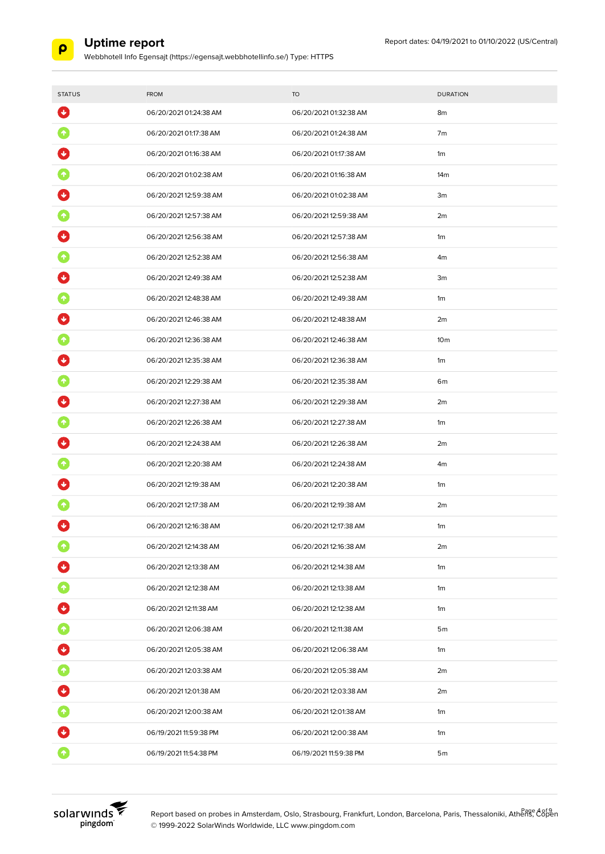

| <b>STATUS</b> | <b>FROM</b>            | <b>TO</b>              | <b>DURATION</b> |
|---------------|------------------------|------------------------|-----------------|
| ₩             | 06/20/2021 01:24:38 AM | 06/20/2021 01:32:38 AM | 8m              |
|               | 06/20/2021 01:17:38 AM | 06/20/2021 01:24:38 AM | 7m              |
|               | 06/20/2021 01:16:38 AM | 06/20/2021 01:17:38 AM | 1 <sub>m</sub>  |
|               | 06/20/2021 01:02:38 AM | 06/20/2021 01:16:38 AM | 14 <sub>m</sub> |
|               | 06/20/202112:59:38 AM  | 06/20/2021 01:02:38 AM | 3m              |
|               | 06/20/202112:57:38 AM  | 06/20/202112:59:38 AM  | 2m              |
|               | 06/20/202112:56:38 AM  | 06/20/202112:57:38 AM  | 1m              |
|               | 06/20/2021 12:52:38 AM | 06/20/202112:56:38 AM  | 4m              |
|               | 06/20/2021 12:49:38 AM | 06/20/202112:52:38 AM  | 3m              |
|               | 06/20/202112:48:38 AM  | 06/20/202112:49:38 AM  | 1 <sub>m</sub>  |
|               | 06/20/202112:46:38 AM  | 06/20/2021 12:48:38 AM | 2m              |
|               | 06/20/202112:36:38 AM  | 06/20/202112:46:38 AM  | 10 <sub>m</sub> |
|               | 06/20/202112:35:38 AM  | 06/20/202112:36:38 AM  | 1m              |
|               | 06/20/202112:29:38 AM  | 06/20/202112:35:38 AM  | 6m              |
|               | 06/20/202112:27:38 AM  | 06/20/202112:29:38 AM  | 2m              |
|               | 06/20/202112:26:38 AM  | 06/20/2021 12:27:38 AM | 1m              |
|               | 06/20/202112:24:38 AM  | 06/20/202112:26:38 AM  | 2m              |
|               | 06/20/2021 12:20:38 AM | 06/20/2021 12:24:38 AM | 4m              |
|               | 06/20/202112:19:38 AM  | 06/20/202112:20:38 AM  | 1 <sub>m</sub>  |
|               | 06/20/202112:17:38 AM  | 06/20/202112:19:38 AM  | 2m              |
| ↓             | 06/20/202112:16:38 AM  | 06/20/202112:17:38 AM  | 1 <sub>m</sub>  |
|               | 06/20/2021 12:14:38 AM | 06/20/202112:16:38 AM  | 2m              |
|               | 06/20/202112:13:38 AM  | 06/20/202112:14:38 AM  | 1m              |
|               | 06/20/202112:12:38 AM  | 06/20/2021 12:13:38 AM | 1m              |
| Ø             | 06/20/2021 12:11:38 AM | 06/20/2021 12:12:38 AM | 1m              |
|               | 06/20/202112:06:38 AM  | 06/20/2021 12:11:38 AM | 5 <sub>m</sub>  |
| O             | 06/20/202112:05:38 AM  | 06/20/202112:06:38 AM  | 1m              |
|               | 06/20/202112:03:38 AM  | 06/20/202112:05:38 AM  | 2m              |
| Ø             | 06/20/202112:01:38 AM  | 06/20/202112:03:38 AM  | 2m              |
| $\bullet$     | 06/20/202112:00:38 AM  | 06/20/2021 12:01:38 AM | 1m              |
|               | 06/19/2021 11:59:38 PM | 06/20/202112:00:38 AM  | 1m              |
|               | 06/19/2021 11:54:38 PM | 06/19/2021 11:59:38 PM | 5 <sub>m</sub>  |

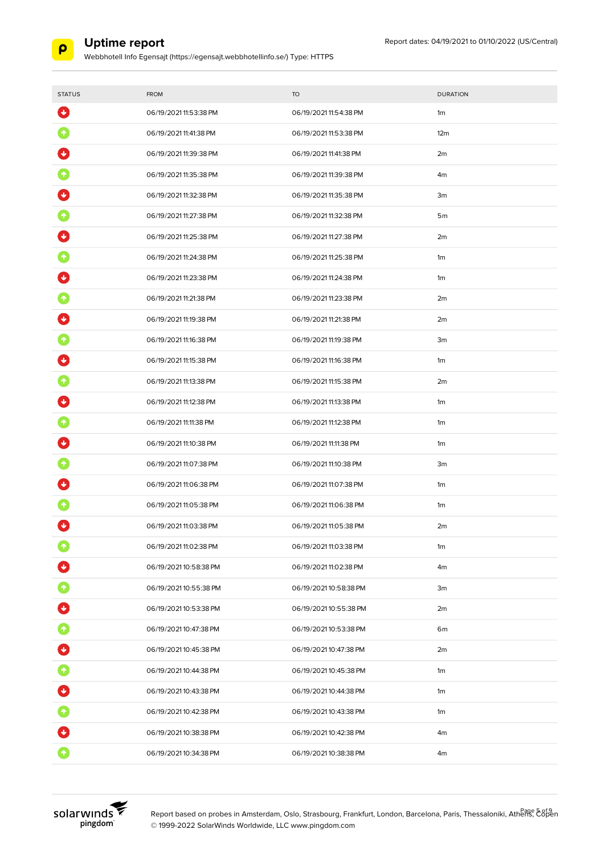

Webbhotell Info Egensajt (https://egensajt.webbhotellinfo.se/) Type: HTTPS

| <b>STATUS</b>           | <b>FROM</b>            | <b>TO</b>              | <b>DURATION</b> |
|-------------------------|------------------------|------------------------|-----------------|
| $\ddot{\mathbf{v}}$     | 06/19/2021 11:53:38 PM | 06/19/2021 11:54:38 PM | 1 <sub>m</sub>  |
| $\boldsymbol{\Uparrow}$ | 06/19/2021 11:41:38 PM | 06/19/2021 11:53:38 PM | 12m             |
|                         | 06/19/2021 11:39:38 PM | 06/19/2021 11:41:38 PM | 2m              |
|                         | 06/19/2021 11:35:38 PM | 06/19/2021 11:39:38 PM | 4m              |
|                         | 06/19/2021 11:32:38 PM | 06/19/2021 11:35:38 PM | 3m              |
|                         | 06/19/2021 11:27:38 PM | 06/19/2021 11:32:38 PM | 5 <sub>m</sub>  |
|                         | 06/19/2021 11:25:38 PM | 06/19/2021 11:27:38 PM | 2m              |
|                         | 06/19/2021 11:24:38 PM | 06/19/2021 11:25:38 PM | 1 <sub>m</sub>  |
|                         | 06/19/2021 11:23:38 PM | 06/19/2021 11:24:38 PM | 1m              |
|                         | 06/19/2021 11:21:38 PM | 06/19/2021 11:23:38 PM | 2m              |
|                         | 06/19/2021 11:19:38 PM | 06/19/2021 11:21:38 PM | 2m              |
|                         | 06/19/2021 11:16:38 PM | 06/19/2021 11:19:38 PM | 3m              |
|                         | 06/19/2021 11:15:38 PM | 06/19/2021 11:16:38 PM | 1 <sub>m</sub>  |
|                         | 06/19/2021 11:13:38 PM | 06/19/2021 11:15:38 PM | 2m              |
|                         | 06/19/2021 11:12:38 PM | 06/19/2021 11:13:38 PM | 1m              |
|                         | 06/19/2021 11:11:38 PM | 06/19/2021 11:12:38 PM | 1 <sub>m</sub>  |
|                         | 06/19/2021 11:10:38 PM | 06/19/2021 11:11:38 PM | 1m              |
|                         | 06/19/2021 11:07:38 PM | 06/19/2021 11:10:38 PM | 3m              |
|                         | 06/19/2021 11:06:38 PM | 06/19/2021 11:07:38 PM | 1m              |
|                         | 06/19/2021 11:05:38 PM | 06/19/2021 11:06:38 PM | 1m              |
|                         | 06/19/2021 11:03:38 PM | 06/19/2021 11:05:38 PM | 2m              |
|                         | 06/19/2021 11:02:38 PM | 06/19/2021 11:03:38 PM | 1m              |
|                         | 06/19/2021 10:58:38 PM | 06/19/2021 11:02:38 PM | 4m              |
| $\blacklozenge$         | 06/19/2021 10:55:38 PM | 06/19/2021 10:58:38 PM | 3m              |
|                         | 06/19/2021 10:53:38 PM | 06/19/2021 10:55:38 PM | 2m              |
| $\bullet$               | 06/19/2021 10:47:38 PM | 06/19/2021 10:53:38 PM | 6m              |
| U                       | 06/19/2021 10:45:38 PM | 06/19/2021 10:47:38 PM | 2m              |
| $\blacklozenge$         | 06/19/2021 10:44:38 PM | 06/19/2021 10:45:38 PM | 1m              |
| $\ddot{\bullet}$        | 06/19/2021 10:43:38 PM | 06/19/2021 10:44:38 PM | 1m              |
| $\bullet$               | 06/19/2021 10:42:38 PM | 06/19/2021 10:43:38 PM | 1m              |
|                         | 06/19/2021 10:38:38 PM | 06/19/2021 10:42:38 PM | 4m              |
|                         | 06/19/2021 10:34:38 PM | 06/19/2021 10:38:38 PM | 4m              |



Report based on probes in Amsterdam, Oslo, Strasbourg, Frankfurt, London, Barcelona, Paris, Thessaloniki, Athens, Eδβen © 1999-2022 SolarWinds Worldwide, LLC www.pingdom.com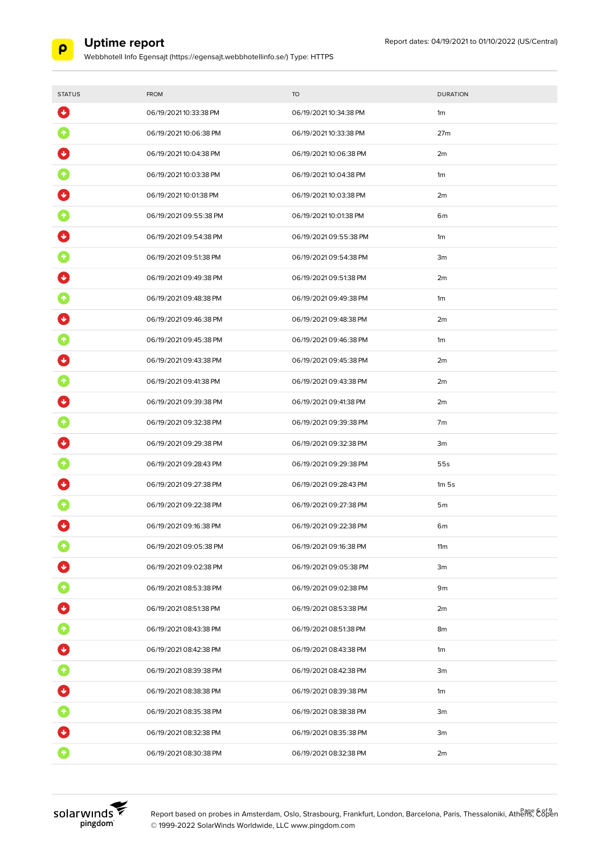

Webbhotell Info Egensajt (https://egensajt.webbhotellinfo.se/) Type: HTTPS

| <b>STATUS</b>       | <b>FROM</b>            | <b>TO</b>              | <b>DURATION</b>  |
|---------------------|------------------------|------------------------|------------------|
| $\ddot{\mathbf{v}}$ | 06/19/2021 10:33:38 PM | 06/19/2021 10:34:38 PM | 1m               |
|                     | 06/19/2021 10:06:38 PM | 06/19/2021 10:33:38 PM | 27 <sub>m</sub>  |
|                     | 06/19/2021 10:04:38 PM | 06/19/2021 10:06:38 PM | 2m               |
|                     | 06/19/2021 10:03:38 PM | 06/19/2021 10:04:38 PM | 1 <sub>m</sub>   |
|                     | 06/19/2021 10:01:38 PM | 06/19/2021 10:03:38 PM | 2m               |
|                     | 06/19/2021 09:55:38 PM | 06/19/2021 10:01:38 PM | 6m               |
|                     | 06/19/2021 09:54:38 PM | 06/19/2021 09:55:38 PM | 1m               |
|                     | 06/19/2021 09:51:38 PM | 06/19/2021 09:54:38 PM | 3m               |
|                     | 06/19/2021 09:49:38 PM | 06/19/2021 09:51:38 PM | 2m               |
|                     | 06/19/2021 09:48:38 PM | 06/19/2021 09:49:38 PM | 1m               |
|                     | 06/19/2021 09:46:38 PM | 06/19/2021 09:48:38 PM | 2m               |
|                     | 06/19/2021 09:45:38 PM | 06/19/2021 09:46:38 PM | 1m               |
|                     | 06/19/2021 09:43:38 PM | 06/19/2021 09:45:38 PM | 2m               |
|                     | 06/19/2021 09:41:38 PM | 06/19/2021 09:43:38 PM | 2m               |
|                     | 06/19/2021 09:39:38 PM | 06/19/2021 09:41:38 PM | 2m               |
|                     | 06/19/2021 09:32:38 PM | 06/19/2021 09:39:38 PM | 7 <sub>m</sub>   |
|                     | 06/19/2021 09:29:38 PM | 06/19/2021 09:32:38 PM | 3m               |
|                     | 06/19/2021 09:28:43 PM | 06/19/2021 09:29:38 PM | 55s              |
|                     | 06/19/2021 09:27:38 PM | 06/19/2021 09:28:43 PM | 1m <sub>5s</sub> |
|                     | 06/19/2021 09:22:38 PM | 06/19/2021 09:27:38 PM | 5 <sub>m</sub>   |
|                     | 06/19/2021 09:16:38 PM | 06/19/2021 09:22:38 PM | 6 <sub>m</sub>   |
|                     | 06/19/2021 09:05:38 PM | 06/19/2021 09:16:38 PM | 11m              |
|                     | 06/19/2021 09:02:38 PM | 06/19/2021 09:05:38 PM | 3m               |
|                     | 06/19/2021 08:53:38 PM | 06/19/2021 09:02:38 PM | 9m               |
|                     | 06/19/2021 08:51:38 PM | 06/19/2021 08:53:38 PM | 2m               |
| $\blacklozenge$     | 06/19/2021 08:43:38 PM | 06/19/2021 08:51:38 PM | 8m               |
| $\bf C$             | 06/19/2021 08:42:38 PM | 06/19/2021 08:43:38 PM | 1m               |
|                     | 06/19/2021 08:39:38 PM | 06/19/2021 08:42:38 PM | 3m               |
| $\blacklozenge$     | 06/19/2021 08:38:38 PM | 06/19/2021 08:39:38 PM | 1m               |
| 0                   | 06/19/2021 08:35:38 PM | 06/19/2021 08:38:38 PM | 3m               |
|                     | 06/19/2021 08:32:38 PM | 06/19/2021 08:35:38 PM | 3m               |
|                     | 06/19/2021 08:30:38 PM | 06/19/2021 08:32:38 PM | 2m               |



Report based on probes in Amsterdam, Oslo, Strasbourg, Frankfurt, London, Barcelona, Paris, Thessaloniki, Athens, Copen © 1999-2022 SolarWinds Worldwide, LLC www.pingdom.com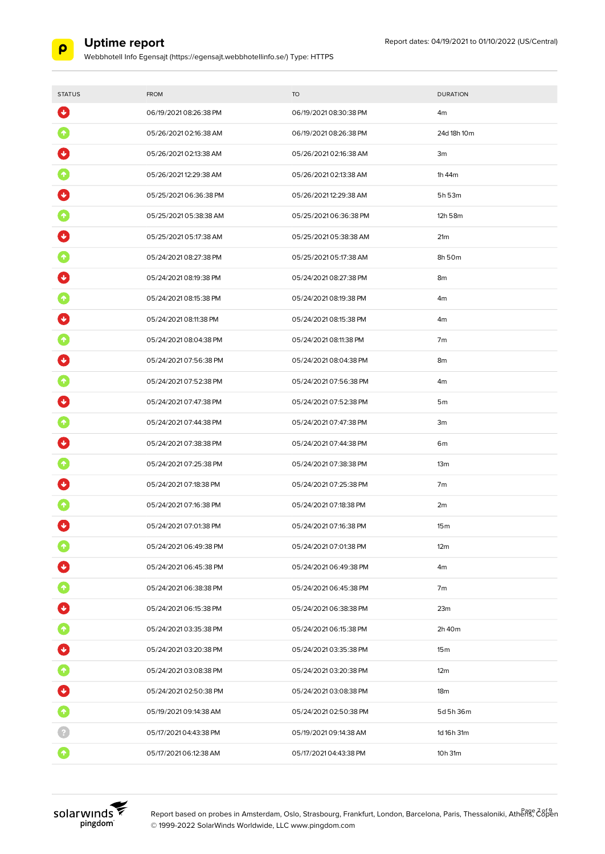

| <b>STATUS</b>                | <b>FROM</b>            | <b>TO</b>              | <b>DURATION</b> |
|------------------------------|------------------------|------------------------|-----------------|
| $\ddot{\mathbf{v}}$          | 06/19/2021 08:26:38 PM | 06/19/2021 08:30:38 PM | 4m              |
|                              | 05/26/2021 02:16:38 AM | 06/19/2021 08:26:38 PM | 24d 18h 10m     |
|                              | 05/26/2021 02:13:38 AM | 05/26/2021 02:16:38 AM | 3m              |
|                              | 05/26/202112:29:38 AM  | 05/26/2021 02:13:38 AM | 1h 44m          |
|                              | 05/25/202106:36:38 PM  | 05/26/202112:29:38 AM  | 5h 53m          |
|                              | 05/25/202105:38:38 AM  | 05/25/202106:36:38 PM  | 12h 58m         |
|                              | 05/25/202105:17:38 AM  | 05/25/202105:38:38 AM  | 21 <sub>m</sub> |
|                              | 05/24/2021 08:27:38 PM | 05/25/2021 05:17:38 AM | 8h 50m          |
|                              | 05/24/2021 08:19:38 PM | 05/24/2021 08:27:38 PM | 8m              |
|                              | 05/24/2021 08:15:38 PM | 05/24/2021 08:19:38 PM | 4m              |
|                              | 05/24/2021 08:11:38 PM | 05/24/2021 08:15:38 PM | 4m              |
|                              | 05/24/202108:04:38 PM  | 05/24/2021 08:11:38 PM | 7 <sub>m</sub>  |
|                              | 05/24/202107:56:38 PM  | 05/24/202108:04:38 PM  | 8m              |
|                              | 05/24/2021 07:52:38 PM | 05/24/202107:56:38 PM  | 4 <sub>m</sub>  |
|                              | 05/24/2021 07:47:38 PM | 05/24/2021 07:52:38 PM | 5 <sub>m</sub>  |
|                              | 05/24/2021 07:44:38 PM | 05/24/2021 07:47:38 PM | 3m              |
|                              | 05/24/2021 07:38:38 PM | 05/24/2021 07:44:38 PM | 6m              |
|                              | 05/24/2021 07:25:38 PM | 05/24/2021 07:38:38 PM | 13 <sub>m</sub> |
|                              | 05/24/2021 07:18:38 PM | 05/24/2021 07:25:38 PM | 7 <sub>m</sub>  |
|                              | 05/24/2021 07:16:38 PM | 05/24/2021 07:18:38 PM | 2m              |
| ↓                            | 05/24/2021 07:01:38 PM | 05/24/2021 07:16:38 PM | 15 <sub>m</sub> |
|                              | 05/24/202106:49:38 PM  | 05/24/2021 07:01:38 PM | 12m             |
|                              | 05/24/202106:45:38 PM  | 05/24/202106:49:38 PM  | 4m              |
|                              | 05/24/202106:38:38 PM  | 05/24/202106:45:38 PM  | 7m              |
|                              | 05/24/2021 06:15:38 PM | 05/24/202106:38:38 PM  | 23m             |
| $\blacklozenge$              | 05/24/2021 03:35:38 PM | 05/24/2021 06:15:38 PM | 2h 40m          |
| O                            | 05/24/2021 03:20:38 PM | 05/24/202103:35:38 PM  | 15m             |
| $\bullet$                    | 05/24/2021 03:08:38 PM | 05/24/202103:20:38 PM  | 12 <sub>m</sub> |
| $\left  \cdot \right\rangle$ | 05/24/202102:50:38 PM  | 05/24/2021 03:08:38 PM | 18 <sub>m</sub> |
| $\bullet$                    | 05/19/2021 09:14:38 AM | 05/24/202102:50:38 PM  | 5d 5h 36m       |
|                              | 05/17/2021 04:43:38 PM | 05/19/2021 09:14:38 AM | 1d 16h 31m      |
| $\bullet$                    | 05/17/2021 06:12:38 AM | 05/17/2021 04:43:38 PM | 10h 31m         |

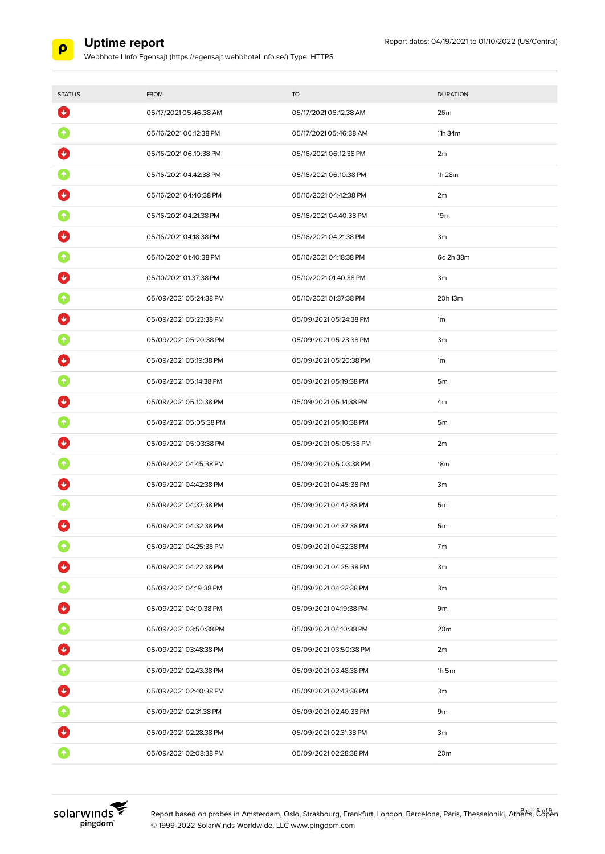

Webbhotell Info Egensajt (https://egensajt.webbhotellinfo.se/) Type: HTTPS

| <b>STATUS</b>               | <b>FROM</b>            | <b>TO</b>              | <b>DURATION</b> |
|-----------------------------|------------------------|------------------------|-----------------|
| $\ddot{\phantom{1}}$        | 05/17/2021 05:46:38 AM | 05/17/2021 06:12:38 AM | 26 <sub>m</sub> |
|                             | 05/16/2021 06:12:38 PM | 05/17/2021 05:46:38 AM | 11h 34m         |
|                             | 05/16/2021 06:10:38 PM | 05/16/2021 06:12:38 PM | 2m              |
|                             | 05/16/2021 04:42:38 PM | 05/16/2021 06:10:38 PM | 1h 28m          |
|                             | 05/16/2021 04:40:38 PM | 05/16/2021 04:42:38 PM | 2m              |
|                             | 05/16/2021 04:21:38 PM | 05/16/2021 04:40:38 PM | 19 <sub>m</sub> |
|                             | 05/16/2021 04:18:38 PM | 05/16/2021 04:21:38 PM | 3m              |
|                             | 05/10/2021 01:40:38 PM | 05/16/2021 04:18:38 PM | 6d 2h 38m       |
|                             | 05/10/2021 01:37:38 PM | 05/10/2021 01:40:38 PM | 3m              |
|                             | 05/09/202105:24:38 PM  | 05/10/2021 01:37:38 PM | 20h 13m         |
|                             | 05/09/202105:23:38 PM  | 05/09/202105:24:38 PM  | 1 <sub>m</sub>  |
|                             | 05/09/202105:20:38 PM  | 05/09/202105:23:38 PM  | 3m              |
|                             | 05/09/202105:19:38 PM  | 05/09/2021 05:20:38 PM | 1 <sub>m</sub>  |
|                             | 05/09/202105:14:38 PM  | 05/09/202105:19:38 PM  | 5 <sub>m</sub>  |
|                             | 05/09/202105:10:38 PM  | 05/09/202105:14:38 PM  | 4m              |
|                             | 05/09/202105:05:38 PM  | 05/09/202105:10:38 PM  | 5 <sub>m</sub>  |
|                             | 05/09/202105:03:38 PM  | 05/09/202105:05:38 PM  | 2m              |
|                             | 05/09/202104:45:38 PM  | 05/09/202105:03:38 PM  | 18 <sub>m</sub> |
|                             | 05/09/202104:42:38 PM  | 05/09/202104:45:38 PM  | 3m              |
|                             | 05/09/202104:37:38 PM  | 05/09/202104:42:38 PM  | 5 <sub>m</sub>  |
|                             | 05/09/202104:32:38 PM  | 05/09/2021 04:37:38 PM | 5 <sub>m</sub>  |
|                             | 05/09/202104:25:38 PM  | 05/09/202104:32:38 PM  | 7m              |
|                             | 05/09/202104:22:38 PM  | 05/09/202104:25:38 PM  | 3m              |
| $\blacklozenge$             | 05/09/2021 04:19:38 PM | 05/09/202104:22:38 PM  | 3m              |
| O                           | 05/09/202104:10:38 PM  | 05/09/202104:19:38 PM  | 9m              |
| $\bullet$                   | 05/09/2021 03:50:38 PM | 05/09/2021 04:10:38 PM | 20 <sub>m</sub> |
| O                           | 05/09/202103:48:38 PM  | 05/09/202103:50:38 PM  | 2m              |
| $\blacklozenge$             | 05/09/202102:43:38 PM  | 05/09/202103:48:38 PM  | $1h$ 5 $m$      |
| $\left  \mathbf{v} \right $ | 05/09/202102:40:38 PM  | 05/09/202102:43:38 PM  | 3m              |
| $\bullet$                   | 05/09/2021 02:31:38 PM | 05/09/2021 02:40:38 PM | 9m              |
|                             | 05/09/202102:28:38 PM  | 05/09/2021 02:31:38 PM | 3m              |
|                             | 05/09/2021 02:08:38 PM | 05/09/202102:28:38 PM  | 20 <sub>m</sub> |



Report based on probes in Amsterdam, Oslo, Strasbourg, Frankfurt, London, Barcelona, Paris, Thessaloniki, Athens, Copen © 1999-2022 SolarWinds Worldwide, LLC www.pingdom.com